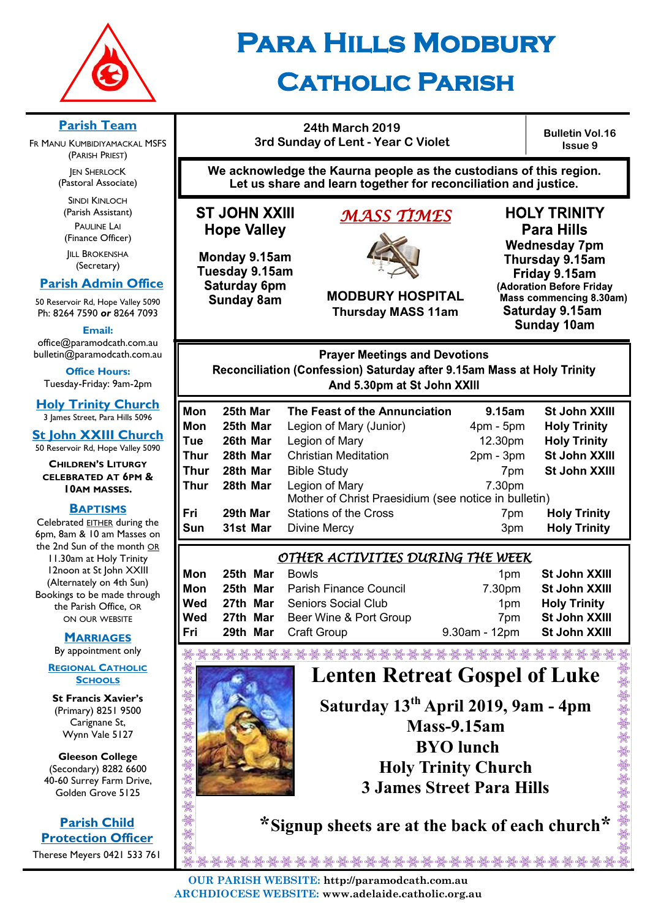

# **Para Hills Modbury Catholic Parish**

**24th March 2019 3rd Sunday of Lent - Year C Violet**

**Bulletin Vol.16 Issue 9**

**We acknowledge the Kaurna people as the custodians of this region. Let us share and learn together for reconciliation and justice.**

**ST JOHN XXIII Hope Valley** 

Monday 9.15am

Tuesday 9.15am

Saturday 6pm

**Sunday 8am** 

# *MASS TIMES*



**MODBURY HOSPITAL Thursday MASS 11am**

**HOLY TRINITY Para Hills Wednesday 7pm** Thursday 9.15am Friday 9.15am (Adoration Before Friday Mass commencing 8.30am) Saturday 9.15am **Sunday 10am** 

**Prayer Meetings and Devotions** Reconciliation (Confession) Saturday after 9.15am Mass at Holy Trinity And 5.30pm at St John XXIII

| Mon  | 25th Mar | The Feast of the Annunciation                        | 9.15am      | St John XXIII        |
|------|----------|------------------------------------------------------|-------------|----------------------|
| Mon  | 25th Mar | Legion of Mary (Junior)                              | $4pm - 5pm$ | <b>Holy Trinity</b>  |
| Tue  | 26th Mar | Legion of Mary                                       | 12.30pm     | <b>Holy Trinity</b>  |
| Thur | 28th Mar | <b>Christian Meditation</b>                          | $2pm - 3pm$ | St John XXIII        |
| Thur | 28th Mar | <b>Bible Study</b>                                   | 7pm         | <b>St John XXIII</b> |
| Thur | 28th Mar | Legion of Mary                                       | 7.30pm      |                      |
|      |          | Mother of Christ Praesidium (see notice in bulletin) |             |                      |
| Fri  | 29th Mar | <b>Stations of the Cross</b>                         | 7pm         | <b>Holy Trinity</b>  |
| Sun  | 31st Mar | <b>Divine Mercy</b>                                  | 3pm         | <b>Holy Trinity</b>  |
|      |          |                                                      |             |                      |

| <u>OTHER ACTIVITIES DURING THE WEEK</u> |          |  |                                                                                                                             |                 |                     |
|-----------------------------------------|----------|--|-----------------------------------------------------------------------------------------------------------------------------|-----------------|---------------------|
| Mon                                     | 25th Mar |  | <b>Bowls</b>                                                                                                                | 1 <sub>pm</sub> | St John XXIII       |
| Mon                                     | 25th Mar |  | <b>Parish Finance Council</b>                                                                                               | 7.30pm          | St John XXIII       |
| Wed                                     | 27th Mar |  | <b>Seniors Social Club</b>                                                                                                  | 1 <sub>pm</sub> | <b>Holy Trinity</b> |
| Wed                                     | 27th Mar |  | Beer Wine & Port Group                                                                                                      | 7 <sub>pm</sub> | St John XXIII       |
| Fri                                     | 29th Mar |  | <b>Craft Group</b>                                                                                                          | 9.30am - 12pm   | St John XXIII       |
|                                         |          |  | di dipung taun dipung kanalipung dipung dipung dipung dipung dipung dipung dipung dipung dipung dipung dipung dipung dipung |                 |                     |



# **Lenten Retreat Gospel of Luke**

**Saturday 13th April 2019, 9am - 4pm Mass-9.15am BYO lunch Holy Trinity Church 3 James Street Para Hills**

 **\*Signup sheets are at the back of each church\***

သူမွာ အိမ္သား သိမ္သား သိမ္သား အိမ္သား သိမ္သား သိမ္သား သိမ္သား သိမ္သား သိမ္သား သိမ္သား သိမ္သား သိမ္သား သိမ္သား<br>ထိုက္လိုက် ထိုက္လိုက် ထိုက္လိုက် ထိုက္လိုက် ထိုက္လိုက် ထိုက္လိုက် ထိုက္လိုက် ထိုက္လိုက် ထိုက္လိုက် ထိုက္လိုက် ထ **OUR PARISH WEBSITE: http://paramodcath.com.au ARCHDIOCESE WEBSITE: www.adelaide.catholic.org.au**

**Parish Team** 

FR MANU KUMBIDIYAMACKAL MSFS (PARISH PRIEST) **JEN SHERLOCK** (Pastoral Associate)

> SINDI KINLOCH (Parish Assistant) PAULINE LAI (Finance Officer)

**IILL BROKENSHA** (Secretary)

#### **Parish Admin Office**

50 Reservoir Rd, Hope Valley 5090 Ph: 8264 7590 *or* 8264 7093

**Email:** 

office@paramodcath.com.au bulletin@paramodcath.com.au

**Office Hours:**  Tuesday-Friday: 9am-2pm

**Holy Trinity Church** 3 James Street, Para Hills 5096

**St John XXIII Church** 50 Reservoir Rd, Hope Valley 5090

**CHILDREN'S LITURGY CELEBRATED AT 6PM & 10AM MASSES.**

#### **BAPTISMS**

Celebrated EITHER during the 6pm, 8am & 10 am Masses on the 2nd Sun of the month OR 11.30am at Holy Trinity 12noon at St John XXIII (Alternately on 4th Sun) Bookings to be made through the Parish Office, OR ON OUR WEBSITE

#### **MARRIAGES**

By appointment only

**REGIONAL CATHOLIC SCHOOLS**

**St Francis Xavier's**  (Primary) 8251 9500 Carignane St, Wynn Vale 5127

**Gleeson College**  (Secondary) 8282 6600 40-60 Surrey Farm Drive, Golden Grove 5125

**Parish Child Protection Officer** Therese Meyers 0421 533 761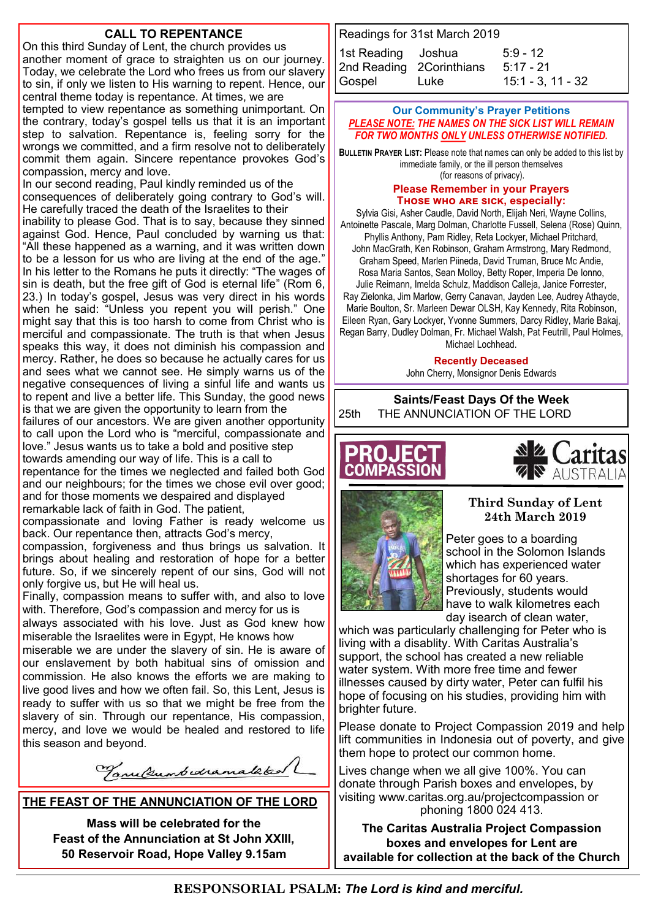#### **CALL TO REPENTANCE**

On this third Sunday of Lent, the church provides us another moment of grace to straighten us on our journey. Today, we celebrate the Lord who frees us from our slavery to sin, if only we listen to His warning to repent. Hence, our central theme today is repentance. At times, we are tempted to view repentance as something unimportant. On the contrary, today's gospel tells us that it is an important step to salvation. Repentance is, feeling sorry for the wrongs we committed, and a firm resolve not to deliberately commit them again. Sincere repentance provokes God's compassion, mercy and love. In our second reading, Paul kindly reminded us of the

consequences of deliberately going contrary to God's will. He carefully traced the death of the Israelites to their inability to please God. That is to say, because they sinned against God. Hence, Paul concluded by warning us that: "All these happened as a warning, and it was written down to be a lesson for us who are living at the end of the age." In his letter to the Romans he puts it directly: "The wages of sin is death, but the free gift of God is eternal life" (Rom 6, 23.) In today's gospel, Jesus was very direct in his words when he said: "Unless you repent you will perish." One might say that this is too harsh to come from Christ who is merciful and compassionate. The truth is that when Jesus speaks this way, it does not diminish his compassion and mercy. Rather, he does so because he actually cares for us and sees what we cannot see. He simply warns us of the negative consequences of living a sinful life and wants us to repent and live a better life. This Sunday, the good news is that we are given the opportunity to learn from the failures of our ancestors. We are given another opportunity to call upon the Lord who is "merciful, compassionate and love." Jesus wants us to take a bold and positive step

towards amending our way of life. This is a call to repentance for the times we neglected and failed both God and our neighbours; for the times we chose evil over good; and for those moments we despaired and displayed remarkable lack of faith in God. The patient,

compassionate and loving Father is ready welcome us back. Our repentance then, attracts God's mercy,

compassion, forgiveness and thus brings us salvation. It brings about healing and restoration of hope for a better future. So, if we sincerely repent of our sins, God will not only forgive us, but He will heal us.

Finally, compassion means to suffer with, and also to love with. Therefore, God's compassion and mercy for us is

always associated with his love. Just as God knew how miserable the Israelites were in Egypt, He knows how miserable we are under the slavery of sin. He is aware of our enslavement by both habitual sins of omission and commission. He also knows the efforts we are making to live good lives and how we often fail. So, this Lent, Jesus is ready to suffer with us so that we might be free from the slavery of sin. Through our repentance, His compassion, mercy, and love we would be healed and restored to life this season and beyond.

Tanulumbedramalaked

**THE FEAST OF THE ANNUNCIATION OF THE LORD**

**Mass will be celebrated for the Feast of the Annunciation at St John XXIII, 50 Reservoir Road, Hope Valley 9.15am**

Readings for 31st March 2019

| 1st Reading Joshua       |             | $5:9 - 12$          |
|--------------------------|-------------|---------------------|
| 2nd Reading 2Corinthians |             | $5:17 - 21$         |
| Gospel                   | <b>Luke</b> | $15:1 - 3, 11 - 32$ |

#### **Our Community's Prayer Petitions**  *PLEASE NOTE: THE NAMES ON THE SICK LIST WILL REMAIN FOR TWO MONTHS ONLY UNLESS OTHERWISE NOTIFIED.*

**BULLETIN PRAYER LIST:** Please note that names can only be added to this list by immediate family, or the ill person themselves (for reasons of privacy).

#### **Please Remember in your Prayers Those who are sick, especially:**

Sylvia Gisi, Asher Caudle, David North, Elijah Neri, Wayne Collins, Antoinette Pascale, Marg Dolman, Charlotte Fussell, Selena (Rose) Quinn, Phyllis Anthony, Pam Ridley, Reta Lockyer, Michael Pritchard, John MacGrath, Ken Robinson, Graham Armstrong, Mary Redmond, Graham Speed, Marlen Piineda, David Truman, Bruce Mc Andie, Rosa Maria Santos, Sean Molloy, Betty Roper, Imperia De Ionno, Julie Reimann, Imelda Schulz, Maddison Calleja, Janice Forrester, Ray Zielonka, Jim Marlow, Gerry Canavan, Jayden Lee, Audrey Athayde, Marie Boulton, Sr. Marleen Dewar OLSH, Kay Kennedy, Rita Robinson, Eileen Ryan, Gary Lockyer, Yvonne Summers, Darcy Ridley, Marie Bakaj, Regan Barry, Dudley Dolman, Fr. Michael Walsh, Pat Feutrill, Paul Holmes, Michael Lochhead.

**Recently Deceased**

John Cherry, Monsignor Denis Edwards

**Saints/Feast Days Of the Week** 25th THE ANNUNCIATION OF THE LORD







#### **Third Sunday of Lent 24th March 2019**

Peter goes to a boarding school in the Solomon Islands which has experienced water shortages for 60 years. Previously, students would have to walk kilometres each day isearch of clean water,

which was particularly challenging for Peter who is living with a disablity. With Caritas Australia's support, the school has created a new reliable water system. With more free time and fewer illnesses caused by dirty water, Peter can fulfil his hope of focusing on his studies, providing him with brighter future.

Please donate to Project Compassion 2019 and help lift communities in Indonesia out of poverty, and give them hope to protect our common home.

Lives change when we all give 100%. You can donate through Parish boxes and envelopes, by visiting www.caritas.org.au/projectcompassion or phoning 1800 024 413.

**The Caritas Australia Project Compassion boxes and envelopes for Lent are available for collection at the back of the Church**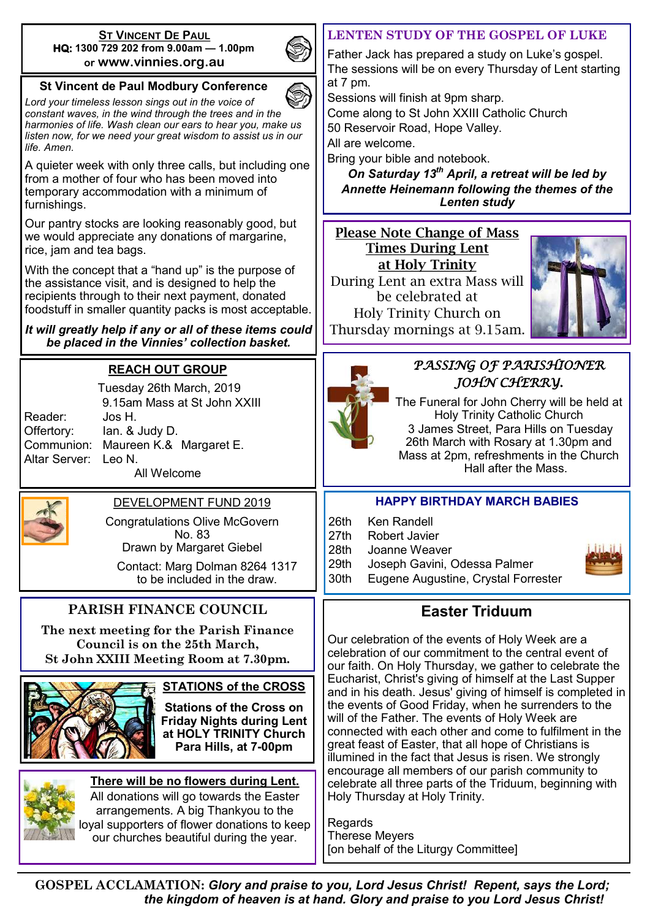#### **ST VINCENT DE PAUL HQ: 1300 729 202 from 9.00am — 1.00pm or www.vinnies.org.au**



#### **St Vincent de Paul Modbury Conference**

*Lord your timeless lesson sings out in the voice of constant waves, in the wind through the trees and in the harmonies of life. Wash clean our ears to hear you, make us listen now, for we need your great wisdom to assist us in our life. Amen.*

A quieter week with only three calls, but including one from a mother of four who has been moved into temporary accommodation with a minimum of furnishings.

Our pantry stocks are looking reasonably good, but we would appreciate any donations of margarine, rice, jam and tea bags.

With the concept that a "hand up" is the purpose of the assistance visit, and is designed to help the recipients through to their next payment, donated foodstuff in smaller quantity packs is most acceptable.

*It will greatly help if any or all of these items could be placed in the Vinnies' collection basket.* 

## **REACH OUT GROUP**

|               | i ucsuay z |
|---------------|------------|
|               | 9.15am N   |
| Reader:       | Jos H.     |
| Offertory:    | lan. & Ju∈ |
| Communion:    | Maureen    |
| Altar Server: | Leo N.     |
|               |            |

Tuesday 26th March, 2019 9.15am Mass at St John XXIII  $dy D$ . K.& Margaret E.

All Welcome



Congratulations Olive McGovern No. 83 Drawn by Margaret Giebel

Contact: Marg Dolman 8264 1317 to be included in the draw.

## **PARISH FINANCE COUNCIL**

**The next meeting for the Parish Finance Council is on the 25th March, St John XXIII Meeting Room at 7.30pm.**



#### **STATIONS of the CROSS**

**Stations of the Cross on Friday Nights during Lent at HOLY TRINITY Church Para Hills, at 7-00pm** 



**There will be no flowers during Lent.**  All donations will go towards the Easter arrangements. A big Thankyou to the loyal supporters of flower donations to keep our churches beautiful during the year.

#### **LENTEN STUDY OF THE GOSPEL OF LUKE**

Father Jack has prepared a study on Luke's gospel. The sessions will be on every Thursday of Lent starting at 7 pm.

Sessions will finish at 9pm sharp.

Come along to St John XXIII Catholic Church

50 Reservoir Road, Hope Valley.

All are welcome.

Bring your bible and notebook.

*On Saturday 13th April, a retreat will be led by Annette Heinemann following the themes of the Lenten study*

#### Please Note Change of Mass Times During Lent at Holy Trinity

During Lent an extra Mass will be celebrated at Holy Trinity Church on Thursday mornings at 9.15am.





## *PASSING OF PARISHIONER JOHN CHERRY.*

The Funeral for John Cherry will be held at Holy Trinity Catholic Church 3 James Street, Para Hills on Tuesday 26th March with Rosary at 1.30pm and Mass at 2pm, refreshments in the Church Hall after the Mass.

#### **HAPPY BIRTHDAY MARCH BABIES**

- 26th Ken Randell
- 27th Robert Javier

28th Joanne Weaver

- 29th Joseph Gavini, Odessa Palmer
- 30th Eugene Augustine, Crystal Forrester

## **Easter Triduum**

Our celebration of the events of Holy Week are a celebration of our commitment to the central event of our faith. On Holy Thursday, we gather to celebrate the Eucharist, Christ's giving of himself at the Last Supper and in his death. Jesus' giving of himself is completed in the events of Good Friday, when he surrenders to the will of the Father. The events of Holy Week are connected with each other and come to fulfilment in the great feast of Easter, that all hope of Christians is illumined in the fact that Jesus is risen. We strongly encourage all members of our parish community to celebrate all three parts of the Triduum, beginning with Holy Thursday at Holy Trinity.

**Regards** Therese Meyers [on behalf of the Liturgy Committee]

**GOSPEL ACCLAMATION:** *Glory and praise to you, Lord Jesus Christ! Repent, says the Lord; the kingdom of heaven is at hand. Glory and praise to you Lord Jesus Christ!*